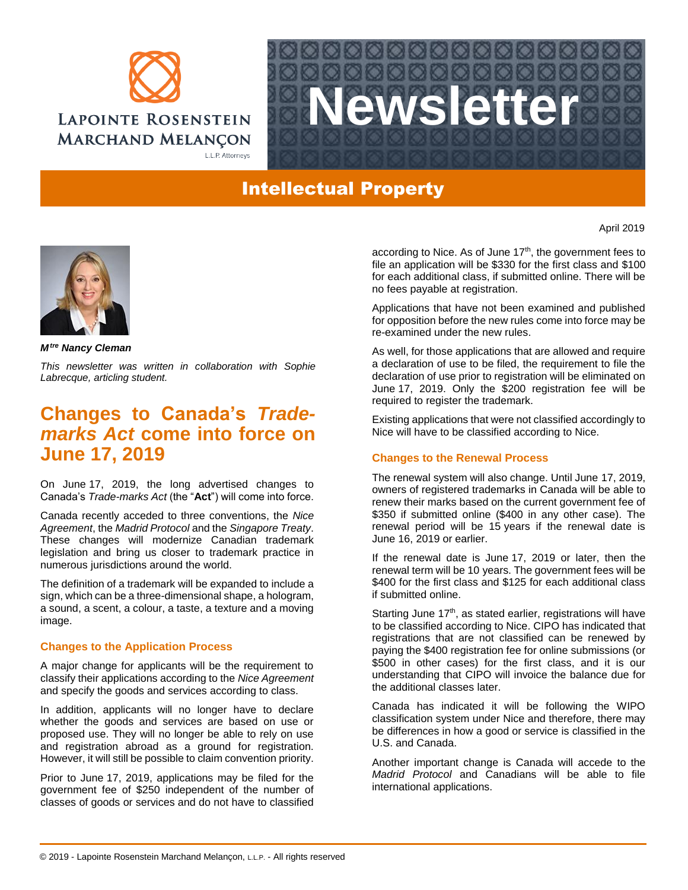



## Intellectual Property

*Mtre Nancy Cleman*

*This newsletter was written in collaboration with Sophie Labrecque, articling student.*

## **Changes to Canada's** *Trademarks Act* **come into force on June 17, 2019**

On June 17, 2019, the long advertised changes to Canada's *Trade-marks Act* (the "**Act**") will come into force.

Canada recently acceded to three conventions, the *Nice Agreement*, the *Madrid Protocol* and the *Singapore Treaty*. These changes will modernize Canadian trademark legislation and bring us closer to trademark practice in numerous jurisdictions around the world.

The definition of a trademark will be expanded to include a sign, which can be a three-dimensional shape, a hologram, a sound, a scent, a colour, a taste, a texture and a moving image.

## **Changes to the Application Process**

A major change for applicants will be the requirement to classify their applications according to the *Nice Agreement* and specify the goods and services according to class.

In addition, applicants will no longer have to declare whether the goods and services are based on use or proposed use. They will no longer be able to rely on use and registration abroad as a ground for registration. However, it will still be possible to claim convention priority.

Prior to June 17, 2019, applications may be filed for the government fee of \$250 independent of the number of classes of goods or services and do not have to classified

according to Nice. As of June 17<sup>th</sup>, the government fees to file an application will be \$330 for the first class and \$100 for each additional class, if submitted online. There will be no fees payable at registration.

Applications that have not been examined and published for opposition before the new rules come into force may be re-examined under the new rules.

As well, for those applications that are allowed and require a declaration of use to be filed, the requirement to file the declaration of use prior to registration will be eliminated on June 17, 2019. Only the \$200 registration fee will be required to register the trademark.

Existing applications that were not classified accordingly to Nice will have to be classified according to Nice.

## **Changes to the Renewal Process**

The renewal system will also change. Until June 17, 2019, owners of registered trademarks in Canada will be able to renew their marks based on the current government fee of \$350 if submitted online (\$400 in any other case). The renewal period will be 15 years if the renewal date is June 16, 2019 or earlier.

If the renewal date is June 17, 2019 or later, then the renewal term will be 10 years. The government fees will be \$400 for the first class and \$125 for each additional class if submitted online.

Starting June  $17<sup>th</sup>$ , as stated earlier, registrations will have to be classified according to Nice. CIPO has indicated that registrations that are not classified can be renewed by paying the \$400 registration fee for online submissions (or \$500 in other cases) for the first class, and it is our understanding that CIPO will invoice the balance due for the additional classes later.

Canada has indicated it will be following the WIPO classification system under Nice and therefore, there may be differences in how a good or service is classified in the U.S. and Canada.

Another important change is Canada will accede to the *Madrid Protocol* and Canadians will be able to file international applications.

April 2019